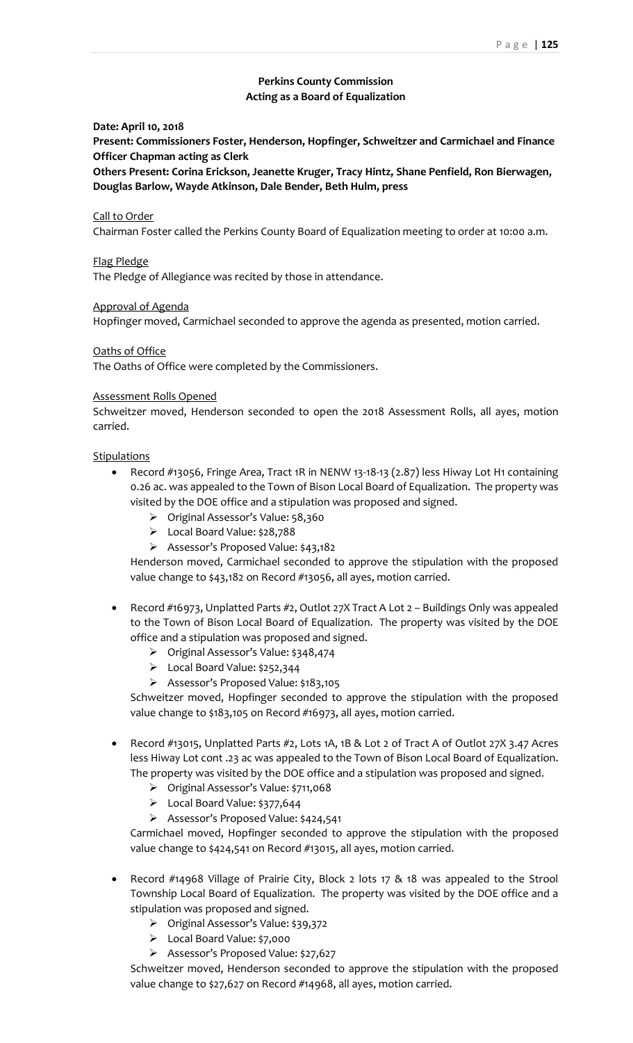# **Perkins County Commission Acting as a Board of Equalization**

## **Date: April 10, 2018**

**Present: Commissioners Foster, Henderson, Hopfinger, Schweitzer and Carmichael and Finance Officer Chapman acting as Clerk**

**Others Present: Corina Erickson, Jeanette Kruger, Tracy Hintz, Shane Penfield, Ron Bierwagen, Douglas Barlow, Wayde Atkinson, Dale Bender, Beth Hulm, press**

#### Call to Order

Chairman Foster called the Perkins County Board of Equalization meeting to order at 10:00 a.m.

### Flag Pledge

The Pledge of Allegiance was recited by those in attendance.

#### Approval of Agenda

Hopfinger moved, Carmichael seconded to approve the agenda as presented, motion carried.

## Oaths of Office

The Oaths of Office were completed by the Commissioners.

#### Assessment Rolls Opened

Schweitzer moved, Henderson seconded to open the 2018 Assessment Rolls, all ayes, motion carried.

## **Stipulations**

- Record #13056, Fringe Area, Tract 1R in NENW 13-18-13 (2.87) less Hiway Lot H1 containing 0.26 ac. was appealed to the Town of Bison Local Board of Equalization. The property was visited by the DOE office and a stipulation was proposed and signed.
	- ➢ Original Assessor's Value: 58,360
	- ➢ Local Board Value: \$28,788
	- ➢ Assessor's Proposed Value: \$43,182

Henderson moved, Carmichael seconded to approve the stipulation with the proposed value change to \$43,182 on Record #13056, all ayes, motion carried.

- Record #16973, Unplatted Parts #2, Outlot 27X Tract A Lot 2 Buildings Only was appealed to the Town of Bison Local Board of Equalization. The property was visited by the DOE office and a stipulation was proposed and signed.
	- ➢ Original Assessor's Value: \$348,474
	- ➢ Local Board Value: \$252,344
	- ➢ Assessor's Proposed Value: \$183,105

Schweitzer moved, Hopfinger seconded to approve the stipulation with the proposed value change to \$183,105 on Record #16973, all ayes, motion carried.

- Record #13015, Unplatted Parts #2, Lots 1A, 1B & Lot 2 of Tract A of Outlot 27X 3.47 Acres less Hiway Lot cont .23 ac was appealed to the Town of Bison Local Board of Equalization. The property was visited by the DOE office and a stipulation was proposed and signed.
	- ➢ Original Assessor's Value: \$711,068
	- ➢ Local Board Value: \$377,644
	- ➢ Assessor's Proposed Value: \$424,541

Carmichael moved, Hopfinger seconded to approve the stipulation with the proposed value change to \$424,541 on Record #13015, all ayes, motion carried.

- Record #14968 Village of Prairie City, Block 2 lots 17 & 18 was appealed to the Strool Township Local Board of Equalization. The property was visited by the DOE office and a stipulation was proposed and signed.
	- ➢ Original Assessor's Value: \$39,372
	- ➢ Local Board Value: \$7,000
	- ➢ Assessor's Proposed Value: \$27,627

Schweitzer moved, Henderson seconded to approve the stipulation with the proposed value change to \$27,627 on Record #14968, all ayes, motion carried.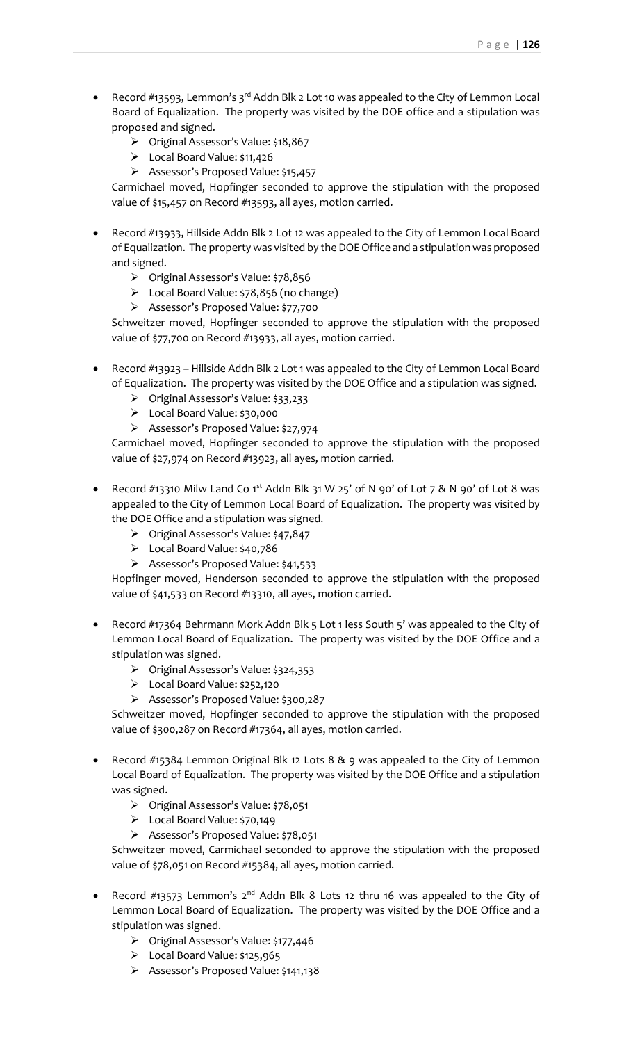- Record #13593, Lemmon's 3<sup>rd</sup> Addn Blk 2 Lot 10 was appealed to the City of Lemmon Local Board of Equalization. The property was visited by the DOE office and a stipulation was proposed and signed.
	- ➢ Original Assessor's Value: \$18,867
	- ➢ Local Board Value: \$11,426
	- ➢ Assessor's Proposed Value: \$15,457

Carmichael moved, Hopfinger seconded to approve the stipulation with the proposed value of \$15,457 on Record #13593, all ayes, motion carried.

- Record #13933, Hillside Addn Blk 2 Lot 12 was appealed to the City of Lemmon Local Board of Equalization. The property was visited by the DOE Office and a stipulation was proposed and signed.
	- ➢ Original Assessor's Value: \$78,856
	- ➢ Local Board Value: \$78,856 (no change)
	- ➢ Assessor's Proposed Value: \$77,700

Schweitzer moved, Hopfinger seconded to approve the stipulation with the proposed value of \$77,700 on Record #13933, all ayes, motion carried.

- Record #13923 Hillside Addn Blk 2 Lot 1 was appealed to the City of Lemmon Local Board of Equalization. The property was visited by the DOE Office and a stipulation was signed.
	- ➢ Original Assessor's Value: \$33,233
	- ➢ Local Board Value: \$30,000
	- ➢ Assessor's Proposed Value: \$27,974

Carmichael moved, Hopfinger seconded to approve the stipulation with the proposed value of \$27,974 on Record #13923, all ayes, motion carried.

- Record #13310 Milw Land Co 1<sup>st</sup> Addn Blk 31 W 25' of N 90' of Lot 7 & N 90' of Lot 8 was appealed to the City of Lemmon Local Board of Equalization. The property was visited by the DOE Office and a stipulation was signed.
	- ➢ Original Assessor's Value: \$47,847
	- ➢ Local Board Value: \$40,786
	- ➢ Assessor's Proposed Value: \$41,533

Hopfinger moved, Henderson seconded to approve the stipulation with the proposed value of \$41,533 on Record #13310, all ayes, motion carried.

- Record #17364 Behrmann Mork Addn Blk 5 Lot 1 less South 5' was appealed to the City of Lemmon Local Board of Equalization. The property was visited by the DOE Office and a stipulation was signed.
	- ➢ Original Assessor's Value: \$324,353
	- ➢ Local Board Value: \$252,120
	- ➢ Assessor's Proposed Value: \$300,287

Schweitzer moved, Hopfinger seconded to approve the stipulation with the proposed value of \$300,287 on Record #17364, all ayes, motion carried.

- Record #15384 Lemmon Original Blk 12 Lots 8 & 9 was appealed to the City of Lemmon Local Board of Equalization. The property was visited by the DOE Office and a stipulation was signed.
	- ➢ Original Assessor's Value: \$78,051
	- ➢ Local Board Value: \$70,149
	- ➢ Assessor's Proposed Value: \$78,051

Schweitzer moved, Carmichael seconded to approve the stipulation with the proposed value of \$78,051 on Record #15384, all ayes, motion carried.

- Record  $\#13573$  Lemmon's 2<sup>nd</sup> Addn Blk 8 Lots 12 thru 16 was appealed to the City of Lemmon Local Board of Equalization. The property was visited by the DOE Office and a stipulation was signed.
	- ➢ Original Assessor's Value: \$177,446
	- ➢ Local Board Value: \$125,965
	- ➢ Assessor's Proposed Value: \$141,138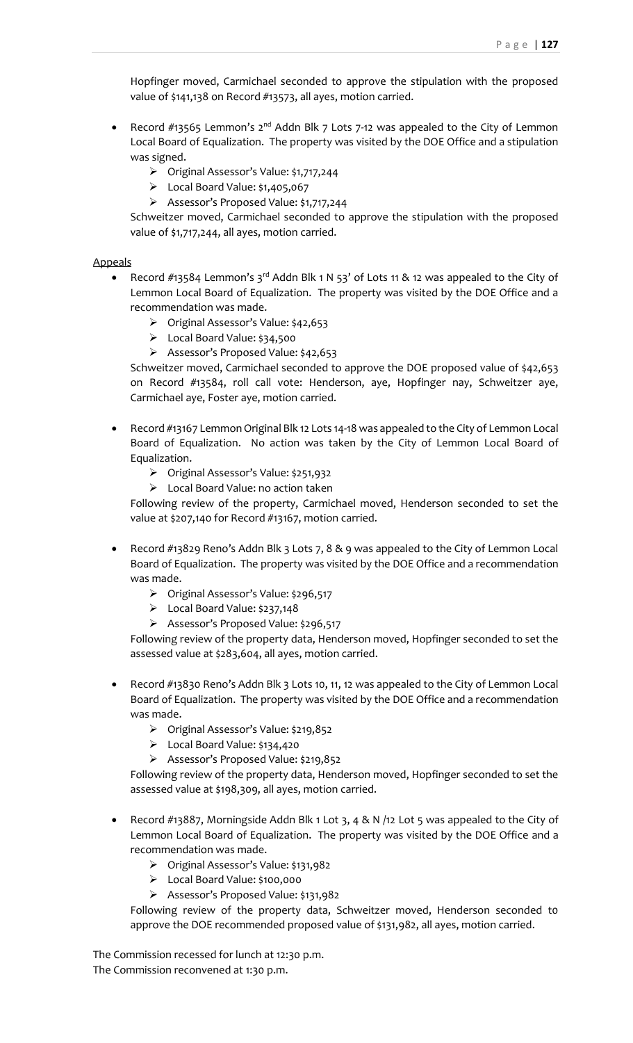Hopfinger moved, Carmichael seconded to approve the stipulation with the proposed value of \$141,138 on Record #13573, all ayes, motion carried.

- Record  $\#$ 13565 Lemmon's 2<sup>nd</sup> Addn Blk 7 Lots 7-12 was appealed to the City of Lemmon Local Board of Equalization. The property was visited by the DOE Office and a stipulation was signed.
	- ➢ Original Assessor's Value: \$1,717,244
	- $\triangleright$  Local Board Value: \$1,405,067
	- ➢ Assessor's Proposed Value: \$1,717,244

Schweitzer moved, Carmichael seconded to approve the stipulation with the proposed value of \$1,717,244, all ayes, motion carried.

Appeals

- Record #13584 Lemmon's 3<sup>rd</sup> Addn Blk 1 N 53' of Lots 11 & 12 was appealed to the City of Lemmon Local Board of Equalization. The property was visited by the DOE Office and a recommendation was made.
	- ➢ Original Assessor's Value: \$42,653
	- ➢ Local Board Value: \$34,500
	- ➢ Assessor's Proposed Value: \$42,653

Schweitzer moved, Carmichael seconded to approve the DOE proposed value of \$42,653 on Record #13584, roll call vote: Henderson, aye, Hopfinger nay, Schweitzer aye, Carmichael aye, Foster aye, motion carried.

- Record #13167 Lemmon Original Blk 12 Lots 14-18 was appealed to the City of Lemmon Local Board of Equalization. No action was taken by the City of Lemmon Local Board of Equalization.
	- ➢ Original Assessor's Value: \$251,932
	- ➢ Local Board Value: no action taken

Following review of the property, Carmichael moved, Henderson seconded to set the value at \$207,140 for Record #13167, motion carried.

- Record #13829 Reno's Addn Blk 3 Lots 7, 8 & 9 was appealed to the City of Lemmon Local Board of Equalization. The property was visited by the DOE Office and a recommendation was made.
	- ➢ Original Assessor's Value: \$296,517
	- ➢ Local Board Value: \$237,148
	- ➢ Assessor's Proposed Value: \$296,517

Following review of the property data, Henderson moved, Hopfinger seconded to set the assessed value at \$283,604, all ayes, motion carried.

- Record #13830 Reno's Addn Blk 3 Lots 10, 11, 12 was appealed to the City of Lemmon Local Board of Equalization. The property was visited by the DOE Office and a recommendation was made.
	- ➢ Original Assessor's Value: \$219,852
	- ➢ Local Board Value: \$134,420
	- ➢ Assessor's Proposed Value: \$219,852

Following review of the property data, Henderson moved, Hopfinger seconded to set the assessed value at \$198,309, all ayes, motion carried.

- Record #13887, Morningside Addn Blk 1 Lot 3, 4 & N /12 Lot 5 was appealed to the City of Lemmon Local Board of Equalization. The property was visited by the DOE Office and a recommendation was made.
	- ➢ Original Assessor's Value: \$131,982
	- ➢ Local Board Value: \$100,000
	- ➢ Assessor's Proposed Value: \$131,982

Following review of the property data, Schweitzer moved, Henderson seconded t0 approve the DOE recommended proposed value of \$131,982, all ayes, motion carried.

The Commission recessed for lunch at 12:30 p.m. The Commission reconvened at 1:30 p.m.